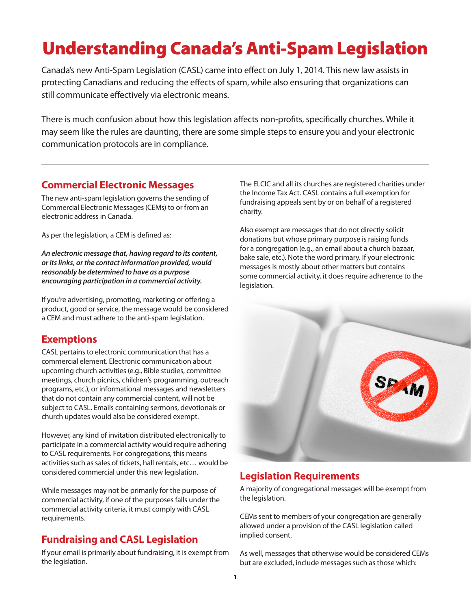# Understanding Canada's Anti-Spam Legislation

Canada's new Anti-Spam Legislation (CASL) came into effect on July 1, 2014. This new law assists in protecting Canadians and reducing the effects of spam, while also ensuring that organizations can still communicate effectively via electronic means.

There is much confusion about how this legislation affects non-profits, specifically churches. While it may seem like the rules are daunting, there are some simple steps to ensure you and your electronic communication protocols are in compliance.

#### **Commercial Electronic Messages**

The new anti-spam legislation governs the sending of Commercial Electronic Messages (CEMs) to or from an electronic address in Canada.

As per the legislation, a CEM is defined as:

*An electronic message that, having regard to its content, or its links, or the contact information provided, would reasonably be determined to have as a purpose encouraging participation in a commercial activity.* 

If you're advertising, promoting, marketing or offering a product, good or service, the message would be considered a CEM and must adhere to the anti-spam legislation.

# **Exemptions**

CASL pertains to electronic communication that has a commercial element. Electronic communication about upcoming church activities (e.g., Bible studies, committee meetings, church picnics, children's programming, outreach programs, etc.), or informational messages and newsletters that do not contain any commercial content, will not be subject to CASL. Emails containing sermons, devotionals or church updates would also be considered exempt.

However, any kind of invitation distributed electronically to participate in a commercial activity would require adhering to CASL requirements. For congregations, this means activities such as sales of tickets, hall rentals, etc… would be considered commercial under this new legislation.

While messages may not be primarily for the purpose of commercial activity, if one of the purposes falls under the commercial activity criteria, it must comply with CASL requirements.

# **Fundraising and CASL Legislation**

If your email is primarily about fundraising, it is exempt from the legislation.

The ELCIC and all its churches are registered charities under the Income Tax Act. CASL contains a full exemption for fundraising appeals sent by or on behalf of a registered charity.

Also exempt are messages that do not directly solicit donations but whose primary purpose is raising funds for a congregation (e.g., an email about a church bazaar, bake sale, etc.). Note the word primary. If your electronic messages is mostly about other matters but contains some commercial activity, it does require adherence to the legislation.



# **Legislation Requirements**

A majority of congregational messages will be exempt from the legislation.

CEMs sent to members of your congregation are generally allowed under a provision of the CASL legislation called implied consent.

As well, messages that otherwise would be considered CEMs but are excluded, include messages such as those which: